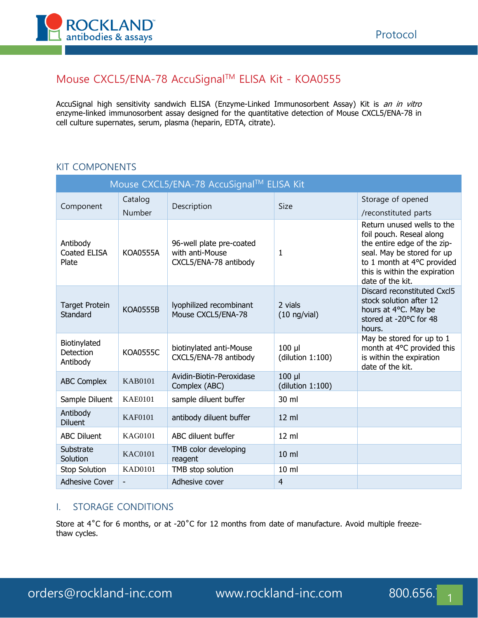

# Mouse CXCL5/ENA-78 AccuSignalTM ELISA Kit - KOA0555

AccuSignal high sensitivity sandwich ELISA (Enzyme-Linked Immunosorbent Assay) Kit is an in vitro enzyme-linked immunosorbent assay designed for the quantitative detection of Mouse CXCL5/ENA-78 in cell culture supernates, serum, plasma (heparin, EDTA, citrate).

### KIT COMPONENTS

| Mouse CXCL5/ENA-78 AccuSignal™ ELISA Kit     |                 |                                                                      |                                 |                                                                                                                                                                                                        |  |  |
|----------------------------------------------|-----------------|----------------------------------------------------------------------|---------------------------------|--------------------------------------------------------------------------------------------------------------------------------------------------------------------------------------------------------|--|--|
| Component                                    | Catalog         | Description                                                          | Size                            | Storage of opened                                                                                                                                                                                      |  |  |
|                                              | Number          |                                                                      |                                 | /reconstituted parts                                                                                                                                                                                   |  |  |
| Antibody<br>Coated ELISA<br>Plate            | <b>KOA0555A</b> | 96-well plate pre-coated<br>with anti-Mouse<br>CXCL5/ENA-78 antibody | 1                               | Return unused wells to the<br>foil pouch. Reseal along<br>the entire edge of the zip-<br>seal. May be stored for up<br>to 1 month at 4°C provided<br>this is within the expiration<br>date of the kit. |  |  |
| <b>Target Protein</b><br>Standard            | <b>KOA0555B</b> | lyophilized recombinant<br>Mouse CXCL5/ENA-78                        | 2 vials<br>$(10 \nmid y$ /vial) | Discard reconstituted Cxcl5<br>stock solution after 12<br>hours at 4°C. May be<br>stored at -20°C for 48<br>hours.                                                                                     |  |  |
| Biotinylated<br><b>Detection</b><br>Antibody | <b>KOA0555C</b> | biotinylated anti-Mouse<br>CXCL5/ENA-78 antibody                     | $100$ $\mu$<br>(dilution 1:100) | May be stored for up to 1<br>month at 4°C provided this<br>is within the expiration<br>date of the kit.                                                                                                |  |  |
| <b>ABC Complex</b>                           | <b>KAB0101</b>  | Avidin-Biotin-Peroxidase<br>Complex (ABC)                            | $100$ $\mu$<br>(dilution 1:100) |                                                                                                                                                                                                        |  |  |
| Sample Diluent                               | <b>KAE0101</b>  | sample diluent buffer                                                | 30 ml                           |                                                                                                                                                                                                        |  |  |
| Antibody<br><b>Diluent</b>                   | <b>KAF0101</b>  | antibody diluent buffer                                              | 12 ml                           |                                                                                                                                                                                                        |  |  |
| <b>ABC Diluent</b>                           | KAG0101         | ABC diluent buffer                                                   | $12 \text{ ml}$                 |                                                                                                                                                                                                        |  |  |
| Substrate<br>Solution                        | <b>KAC0101</b>  | TMB color developing<br>reagent                                      | $10 \mathrm{m}$                 |                                                                                                                                                                                                        |  |  |
| Stop Solution                                | <b>KAD0101</b>  | TMB stop solution                                                    | 10 ml                           |                                                                                                                                                                                                        |  |  |
| <b>Adhesive Cover</b>                        | ٠               | Adhesive cover                                                       | $\overline{4}$                  |                                                                                                                                                                                                        |  |  |

## I. STORAGE CONDITIONS

Store at 4°C for 6 months, or at -20°C for 12 months from date of manufacture. Avoid multiple freezethaw cycles.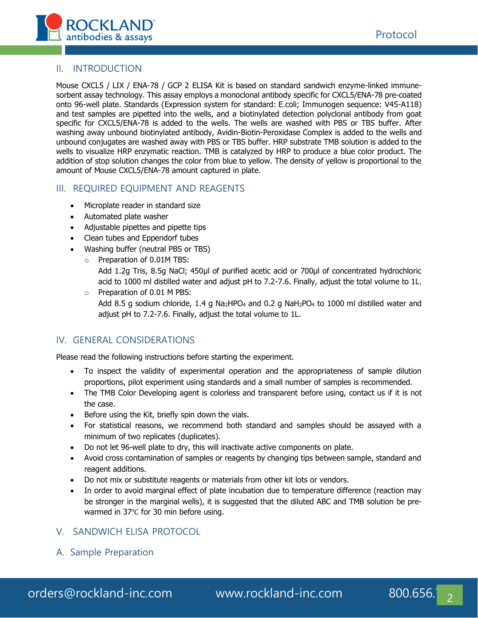

#### II. INTRODUCTION

Mouse CXCL5 / LIX / ENA-78 / GCP 2 ELISA Kit is based on standard sandwich enzyme-linked immunesorbent assay technology. This assay employs a monoclonal antibody specific for CXCL5/ENA-78 pre-coated onto 96-well plate. Standards (Expression system for standard: E.coli; Immunogen sequence: V45-A118) and test samples are pipetted into the wells, and a biotinylated detection polyclonal antibody from goat specific for CXCL5/ENA-78 is added to the wells. The wells are washed with PBS or TBS buffer. After washing away unbound biotinylated antibody, Avidin-Biotin-Peroxidase Complex is added to the wells and unbound conjugates are washed away with PBS or TBS buffer. HRP substrate TMB solution is added to the wells to visualize HRP enzymatic reaction. TMB is catalyzed by HRP to produce a blue color product. The addition of stop solution changes the color from blue to yellow. The density of yellow is proportional to the amount of Mouse CXCL5/ENA-78 amount captured in plate.

#### III. REQUIRED EQUIPMENT AND REAGENTS

- Microplate reader in standard size
- Automated plate washer
- Adjustable pipettes and pipette tips
- Clean tubes and Eppendorf tubes
- Washing buffer (neutral PBS or TBS)
	- o Preparation of 0.01M TBS:

Add 1.2g Tris, 8.5g NaCl; 450μl of purified acetic acid or 700μl of concentrated hydrochloric acid to 1000 ml distilled water and adjust pH to 7.2-7.6. Finally, adjust the total volume to 1L.

o Preparation of 0.01 M PBS: Add 8.5 g sodium chloride, 1.4 g Na<sub>2</sub>HPO<sub>4</sub> and 0.2 g NaH<sub>2</sub>PO<sub>4</sub> to 1000 ml distilled water and adjust pH to 7.2-7.6. Finally, adjust the total volume to 1L.

#### IV. GENERAL CONSIDERATIONS

Please read the following instructions before starting the experiment.

- To inspect the validity of experimental operation and the appropriateness of sample dilution proportions, pilot experiment using standards and a small number of samples is recommended.
- The TMB Color Developing agent is colorless and transparent before using, contact us if it is not the case.
- Before using the Kit, briefly spin down the vials.
- For statistical reasons, we recommend both standard and samples should be assayed with a minimum of two replicates (duplicates).
- Do not let 96-well plate to dry, this will inactivate active components on plate.
- Avoid cross contamination of samples or reagents by changing tips between sample, standard and reagent additions.
- Do not mix or substitute reagents or materials from other kit lots or vendors.
- In order to avoid marginal effect of plate incubation due to temperature difference (reaction may be stronger in the marginal wells), it is suggested that the diluted ABC and TMB solution be prewarmed in 37℃ for 30 min before using.

## V. SANDWICH ELISA PROTOCOL

A. Sample Preparation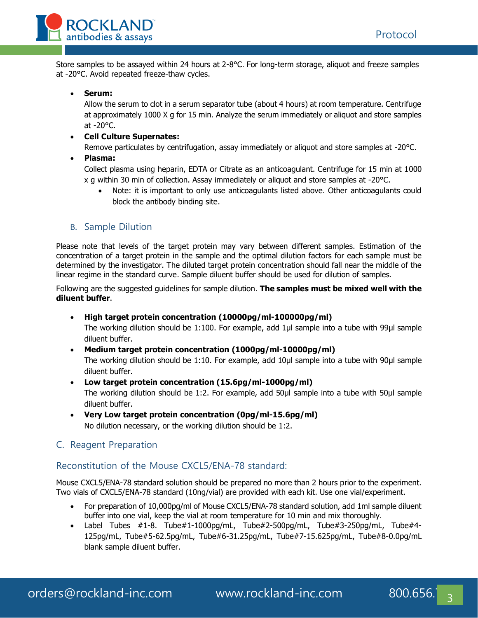

Store samples to be assayed within 24 hours at 2-8°C. For long-term storage, aliquot and freeze samples at -20°C. Avoid repeated freeze-thaw cycles.

#### • **Serum:**

Allow the serum to clot in a serum separator tube (about 4 hours) at room temperature. Centrifuge at approximately 1000 X g for 15 min. Analyze the serum immediately or aliquot and store samples at -20°C.

#### • **Cell Culture Supernates:**

Remove particulates by centrifugation, assay immediately or aliquot and store samples at -20°C.

• **Plasma:**

Collect plasma using heparin, EDTA or Citrate as an anticoagulant. Centrifuge for 15 min at 1000 x g within 30 min of collection. Assay immediately or aliquot and store samples at -20°C.

• Note: it is important to only use anticoagulants listed above. Other anticoagulants could block the antibody binding site.

#### B. Sample Dilution

Please note that levels of the target protein may vary between different samples. Estimation of the concentration of a target protein in the sample and the optimal dilution factors for each sample must be determined by the investigator. The diluted target protein concentration should fall near the middle of the linear regime in the standard curve. Sample diluent buffer should be used for dilution of samples.

Following are the suggested guidelines for sample dilution. **The samples must be mixed well with the diluent buffer**.

- **High target protein concentration (10000pg/ml-100000pg/ml)** The working dilution should be 1:100. For example, add 1μl sample into a tube with 99μl sample diluent buffer.
- **Medium target protein concentration (1000pg/ml-10000pg/ml)** The working dilution should be 1:10. For example, add 10μl sample into a tube with 90μl sample diluent buffer.
- **Low target protein concentration (15.6pg/ml-1000pg/ml)** The working dilution should be 1:2. For example, add 50μl sample into a tube with 50μl sample diluent buffer.
- **Very Low target protein concentration (0pg/ml-15.6pg/ml)** No dilution necessary, or the working dilution should be 1:2.
- C. Reagent Preparation

#### Reconstitution of the Mouse CXCL5/ENA-78 standard:

Mouse CXCL5/ENA-78 standard solution should be prepared no more than 2 hours prior to the experiment. Two vials of CXCL5/ENA-78 standard (10ng/vial) are provided with each kit. Use one vial/experiment.

- For preparation of 10,000pg/ml of Mouse CXCL5/ENA-78 standard solution, add 1ml sample diluent buffer into one vial, keep the vial at room temperature for 10 min and mix thoroughly.
- Label Tubes #1-8. Tube#1-1000pg/mL, Tube#2-500pg/mL, Tube#3-250pg/mL, Tube#4- 125pg/mL, Tube#5-62.5pg/mL, Tube#6-31.25pg/mL, Tube#7-15.625pg/mL, Tube#8-0.0pg/mL blank sample diluent buffer.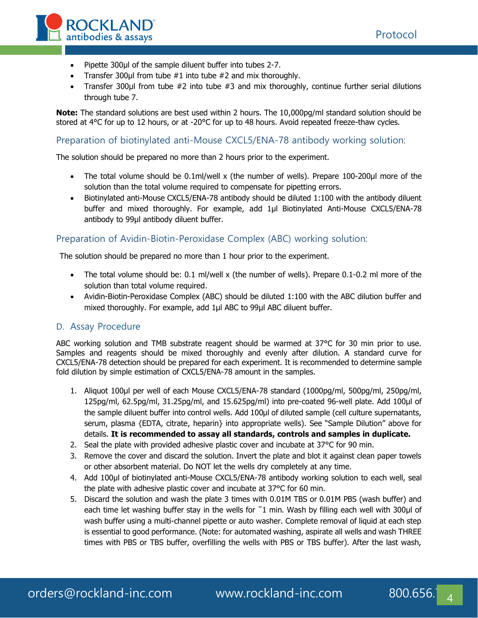



- Pipette 300μl of the sample diluent buffer into tubes 2-7.
- Transfer 300 $\mu$ l from tube  $\#1$  into tube  $\#2$  and mix thoroughly.
- Transfer 300μl from tube #2 into tube #3 and mix thoroughly, continue further serial dilutions through tube 7.

**Note:** The standard solutions are best used within 2 hours. The 10,000pg/ml standard solution should be stored at 4°C for up to 12 hours, or at -20°C for up to 48 hours. Avoid repeated freeze-thaw cycles.

#### Preparation of biotinylated anti-Mouse CXCL5/ENA-78 antibody working solution:

The solution should be prepared no more than 2 hours prior to the experiment.

- The total volume should be 0.1ml/well x (the number of wells). Prepare 100-200μl more of the solution than the total volume required to compensate for pipetting errors.
- Biotinylated anti-Mouse CXCL5/ENA-78 antibody should be diluted 1:100 with the antibody diluent buffer and mixed thoroughly. For example, add 1μl Biotinylated Anti-Mouse CXCL5/ENA-78 antibody to 99μl antibody diluent buffer.

#### Preparation of Avidin-Biotin-Peroxidase Complex (ABC) working solution:

The solution should be prepared no more than 1 hour prior to the experiment.

- The total volume should be: 0.1 ml/well x (the number of wells). Prepare 0.1-0.2 ml more of the solution than total volume required.
- Avidin-Biotin-Peroxidase Complex (ABC) should be diluted 1:100 with the ABC dilution buffer and mixed thoroughly. For example, add 1μl ABC to 99μl ABC diluent buffer.

#### D. Assay Procedure

ABC working solution and TMB substrate reagent should be warmed at 37°C for 30 min prior to use. Samples and reagents should be mixed thoroughly and evenly after dilution. A standard curve for CXCL5/ENA-78 detection should be prepared for each experiment. It is recommended to determine sample fold dilution by simple estimation of CXCL5/ENA-78 amount in the samples.

- 1. Aliquot 100μl per well of each Mouse CXCL5/ENA-78 standard (1000pg/ml, 500pg/ml, 250pg/ml, 125pg/ml, 62.5pg/ml, 31.25pg/ml, and 15.625pg/ml) into pre-coated 96-well plate. Add 100μl of the sample diluent buffer into control wells. Add 100μl of diluted sample (cell culture supernatants, serum, plasma {EDTA, citrate, heparin} into appropriate wells). See "Sample Dilution" above for details. **It is recommended to assay all standards, controls and samples in duplicate.**
- 2. Seal the plate with provided adhesive plastic cover and incubate at 37°C for 90 min.
- 3. Remove the cover and discard the solution. Invert the plate and blot it against clean paper towels or other absorbent material. Do NOT let the wells dry completely at any time.
- 4. Add 100μl of biotinylated anti-Mouse CXCL5/ENA-78 antibody working solution to each well, seal the plate with adhesive plastic cover and incubate at 37°C for 60 min.
- 5. Discard the solution and wash the plate 3 times with 0.01M TBS or 0.01M PBS (wash buffer) and each time let washing buffer stay in the wells for ~1 min. Wash by filling each well with 300µl of wash buffer using a multi-channel pipette or auto washer. Complete removal of liquid at each step is essential to good performance. (Note: for automated washing, aspirate all wells and wash THREE times with PBS or TBS buffer, overfilling the wells with PBS or TBS buffer). After the last wash,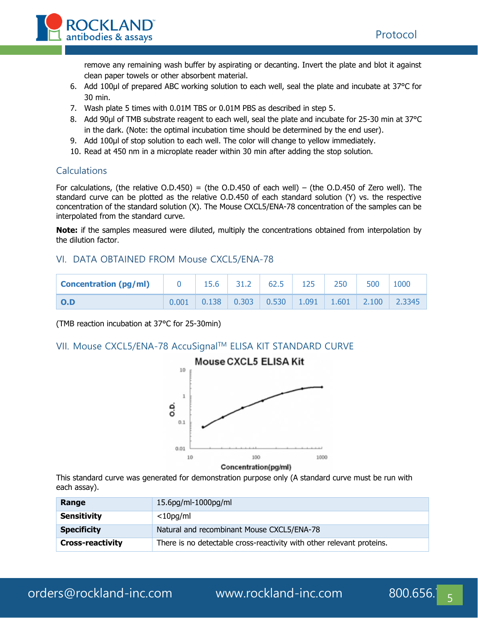

remove any remaining wash buffer by aspirating or decanting. Invert the plate and blot it against clean paper towels or other absorbent material.

- 6. Add 100μl of prepared ABC working solution to each well, seal the plate and incubate at 37°C for 30 min.
- 7. Wash plate 5 times with 0.01M TBS or 0.01M PBS as described in step 5.
- 8. Add 90ul of TMB substrate reagent to each well, seal the plate and incubate for 25-30 min at 37°C in the dark. (Note: the optimal incubation time should be determined by the end user).
- 9. Add 100μl of stop solution to each well. The color will change to yellow immediately.
- 10. Read at 450 nm in a microplate reader within 30 min after adding the stop solution.

#### Calculations

For calculations, (the relative  $O.D.450$ ) = (the  $O.D.450$  of each well) – (the  $O.D.450$  of Zero well). The standard curve can be plotted as the relative O.D.450 of each standard solution (Y) vs. the respective concentration of the standard solution (X). The Mouse CXCL5/ENA-78 concentration of the samples can be interpolated from the standard curve.

**Note:** if the samples measured were diluted, multiply the concentrations obtained from interpolation by the dilution factor.

#### VI. DATA OBTAINED FROM Mouse CXCL5/ENA-78

| <b>Concentration (pg/ml)</b> |       | 15.6 | $31.2$ 62.5 | 125 | 250 | 500 | 1000                                                                                               |
|------------------------------|-------|------|-------------|-----|-----|-----|----------------------------------------------------------------------------------------------------|
| $\overline{O}$ .D            | 0.001 |      |             |     |     |     | $\vert$ 0.138 $\vert$ 0.303 $\vert$ 0.530 $\vert$ 1.091 $\vert$ 1.601 $\vert$ 2.100 $\vert$ 2.3345 |

(TMB reaction incubation at 37°C for 25-30min)

## VII. Mouse CXCL5/ENA-78 AccuSignal™ ELISA KIT STANDARD CURVE



Concentration(pg/ml)

This standard curve was generated for demonstration purpose only (A standard curve must be run with each assay).

| Range                   | 15.6pg/ml-1000pg/ml                                                   |
|-------------------------|-----------------------------------------------------------------------|
| <b>Sensitivity</b>      | $<$ 10pg/ml                                                           |
| <b>Specificity</b>      | Natural and recombinant Mouse CXCL5/ENA-78                            |
| <b>Cross-reactivity</b> | There is no detectable cross-reactivity with other relevant proteins. |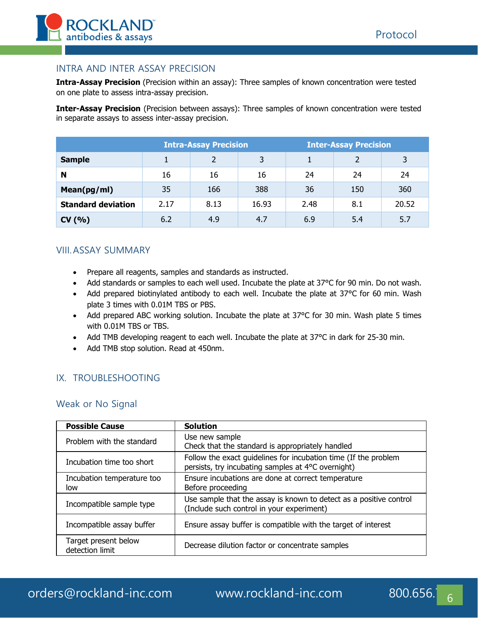

#### INTRA AND INTER ASSAY PRECISION

**Intra-Assay Precision** (Precision within an assay): Three samples of known concentration were tested on one plate to assess intra-assay precision.

**Inter-Assay Precision** (Precision between assays): Three samples of known concentration were tested in separate assays to assess inter-assay precision.

|                           | <b>Intra-Assay Precision</b> |               |       | <b>Inter-Assay Precision</b> |     |       |
|---------------------------|------------------------------|---------------|-------|------------------------------|-----|-------|
| <b>Sample</b>             |                              | $\mathcal{P}$ | 3     |                              | 2   | 3     |
| N                         | 16                           | 16            | 16    | 24                           | 24  | 24    |
| Mean(pg/ml)               | 35                           | 166           | 388   | 36                           | 150 | 360   |
| <b>Standard deviation</b> | 2.17                         | 8.13          | 16.93 | 2.48                         | 8.1 | 20.52 |
| CV(% )                    | 6.2                          | 4.9           | 4.7   | 6.9                          | 5.4 | 5.7   |

### VIII.ASSAY SUMMARY

- Prepare all reagents, samples and standards as instructed.
- Add standards or samples to each well used. Incubate the plate at 37°C for 90 min. Do not wash.
- Add prepared biotinylated antibody to each well. Incubate the plate at 37°C for 60 min. Wash plate 3 times with 0.01M TBS or PBS.
- Add prepared ABC working solution. Incubate the plate at 37°C for 30 min. Wash plate 5 times with 0.01M TBS or TBS.
- Add TMB developing reagent to each well. Incubate the plate at 37°C in dark for 25-30 min.
- Add TMB stop solution. Read at 450nm.

## IX. TROUBLESHOOTING

#### Weak or No Signal

| <b>Possible Cause</b>                   | <b>Solution</b>                                                                                                       |
|-----------------------------------------|-----------------------------------------------------------------------------------------------------------------------|
| Problem with the standard               | Use new sample<br>Check that the standard is appropriately handled                                                    |
| Incubation time too short               | Follow the exact guidelines for incubation time (If the problem<br>persists, try incubating samples at 4°C overnight) |
| Incubation temperature too<br>low       | Ensure incubations are done at correct temperature<br>Before proceeding                                               |
| Incompatible sample type                | Use sample that the assay is known to detect as a positive control<br>(Include such control in your experiment)       |
| Incompatible assay buffer               | Ensure assay buffer is compatible with the target of interest                                                         |
| Target present below<br>detection limit | Decrease dilution factor or concentrate samples                                                                       |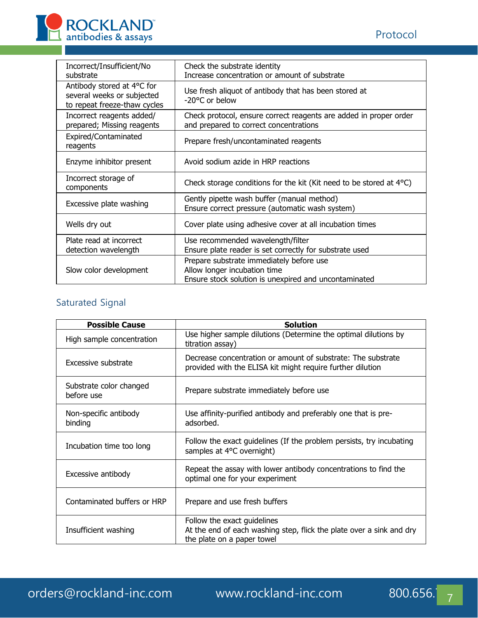

| Incorrect/Insufficient/No<br>substrate                                                   | Check the substrate identity<br>Increase concentration or amount of substrate                                                     |
|------------------------------------------------------------------------------------------|-----------------------------------------------------------------------------------------------------------------------------------|
| Antibody stored at 4°C for<br>several weeks or subjected<br>to repeat freeze-thaw cycles | Use fresh aliquot of antibody that has been stored at<br>$-20$ °C or below                                                        |
| Incorrect reagents added/<br>prepared; Missing reagents                                  | Check protocol, ensure correct reagents are added in proper order<br>and prepared to correct concentrations                       |
| Expired/Contaminated<br>reagents                                                         | Prepare fresh/uncontaminated reagents                                                                                             |
| Enzyme inhibitor present                                                                 | Avoid sodium azide in HRP reactions                                                                                               |
| Incorrect storage of<br>components                                                       | Check storage conditions for the kit (Kit need to be stored at $4^{\circ}$ C)                                                     |
| Excessive plate washing                                                                  | Gently pipette wash buffer (manual method)<br>Ensure correct pressure (automatic wash system)                                     |
| Wells dry out                                                                            | Cover plate using adhesive cover at all incubation times                                                                          |
| Plate read at incorrect                                                                  | Use recommended wavelength/filter                                                                                                 |
| detection wavelength                                                                     | Ensure plate reader is set correctly for substrate used                                                                           |
| Slow color development                                                                   | Prepare substrate immediately before use<br>Allow longer incubation time<br>Ensure stock solution is unexpired and uncontaminated |

# Saturated Signal

| <b>Possible Cause</b>                 | <b>Solution</b>                                                                                                                   |  |  |  |
|---------------------------------------|-----------------------------------------------------------------------------------------------------------------------------------|--|--|--|
| High sample concentration             | Use higher sample dilutions (Determine the optimal dilutions by<br>titration assay)                                               |  |  |  |
| Excessive substrate                   | Decrease concentration or amount of substrate: The substrate<br>provided with the ELISA kit might require further dilution        |  |  |  |
| Substrate color changed<br>before use | Prepare substrate immediately before use                                                                                          |  |  |  |
| Non-specific antibody<br>binding      | Use affinity-purified antibody and preferably one that is pre-<br>adsorbed.                                                       |  |  |  |
| Incubation time too long              | Follow the exact guidelines (If the problem persists, try incubating<br>samples at 4°C overnight)                                 |  |  |  |
| Excessive antibody                    | Repeat the assay with lower antibody concentrations to find the<br>optimal one for your experiment                                |  |  |  |
| Contaminated buffers or HRP           | Prepare and use fresh buffers                                                                                                     |  |  |  |
| Insufficient washing                  | Follow the exact guidelines<br>At the end of each washing step, flick the plate over a sink and dry<br>the plate on a paper towel |  |  |  |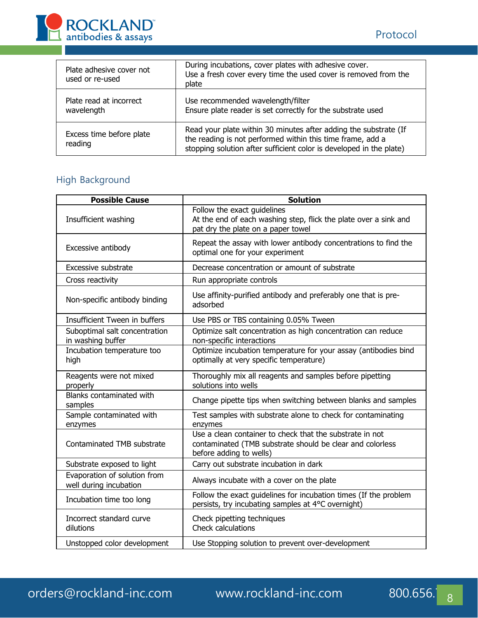

| Plate adhesive cover not<br>used or re-used | During incubations, cover plates with adhesive cover.<br>Use a fresh cover every time the used cover is removed from the<br>plate                                                                     |
|---------------------------------------------|-------------------------------------------------------------------------------------------------------------------------------------------------------------------------------------------------------|
| Plate read at incorrect<br>wavelength       | Use recommended wavelength/filter<br>Ensure plate reader is set correctly for the substrate used                                                                                                      |
| Excess time before plate<br>reading         | Read your plate within 30 minutes after adding the substrate (If<br>the reading is not performed within this time frame, add a<br>stopping solution after sufficient color is developed in the plate) |

# High Background

| <b>Possible Cause</b>                                  | <b>Solution</b>                                                                                                                                  |  |  |
|--------------------------------------------------------|--------------------------------------------------------------------------------------------------------------------------------------------------|--|--|
| Insufficient washing                                   | Follow the exact guidelines<br>At the end of each washing step, flick the plate over a sink and<br>pat dry the plate on a paper towel            |  |  |
| Excessive antibody                                     | Repeat the assay with lower antibody concentrations to find the<br>optimal one for your experiment                                               |  |  |
| Excessive substrate                                    | Decrease concentration or amount of substrate                                                                                                    |  |  |
| Cross reactivity                                       | Run appropriate controls                                                                                                                         |  |  |
| Non-specific antibody binding                          | Use affinity-purified antibody and preferably one that is pre-<br>adsorbed                                                                       |  |  |
| Insufficient Tween in buffers                          | Use PBS or TBS containing 0.05% Tween                                                                                                            |  |  |
| Suboptimal salt concentration<br>in washing buffer     | Optimize salt concentration as high concentration can reduce<br>non-specific interactions                                                        |  |  |
| Incubation temperature too<br>high                     | Optimize incubation temperature for your assay (antibodies bind<br>optimally at very specific temperature)                                       |  |  |
| Reagents were not mixed<br>properly                    | Thoroughly mix all reagents and samples before pipetting<br>solutions into wells                                                                 |  |  |
| Blanks contaminated with<br>samples                    | Change pipette tips when switching between blanks and samples                                                                                    |  |  |
| Sample contaminated with<br>enzymes                    | Test samples with substrate alone to check for contaminating<br>enzymes                                                                          |  |  |
| Contaminated TMB substrate                             | Use a clean container to check that the substrate in not<br>contaminated (TMB substrate should be clear and colorless<br>before adding to wells) |  |  |
| Substrate exposed to light                             | Carry out substrate incubation in dark                                                                                                           |  |  |
| Evaporation of solution from<br>well during incubation | Always incubate with a cover on the plate                                                                                                        |  |  |
| Incubation time too long                               | Follow the exact guidelines for incubation times (If the problem<br>persists, try incubating samples at 4°C overnight)                           |  |  |
| Incorrect standard curve<br>dilutions                  | Check pipetting techniques<br>Check calculations                                                                                                 |  |  |
| Unstopped color development                            | Use Stopping solution to prevent over-development                                                                                                |  |  |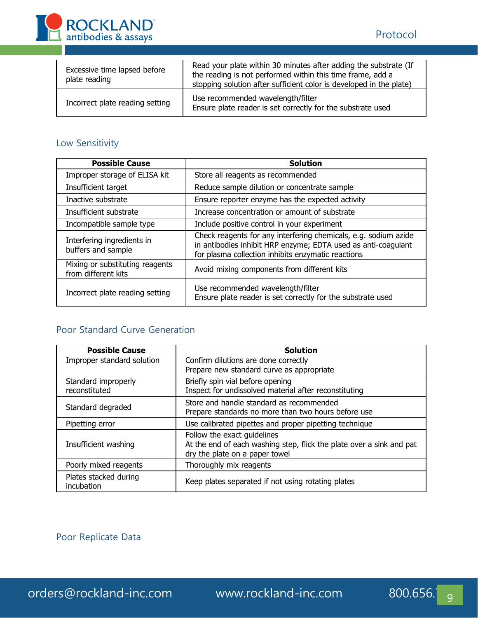

| Excessive time lapsed before<br>plate reading | Read your plate within 30 minutes after adding the substrate (If<br>the reading is not performed within this time frame, add a<br>stopping solution after sufficient color is developed in the plate) |
|-----------------------------------------------|-------------------------------------------------------------------------------------------------------------------------------------------------------------------------------------------------------|
| Incorrect plate reading setting               | Use recommended wavelength/filter<br>Ensure plate reader is set correctly for the substrate used                                                                                                      |

# Low Sensitivity

| <b>Possible Cause</b>                                  | <b>Solution</b>                                                                                                                                                                        |  |  |  |
|--------------------------------------------------------|----------------------------------------------------------------------------------------------------------------------------------------------------------------------------------------|--|--|--|
| Improper storage of ELISA kit                          | Store all reagents as recommended                                                                                                                                                      |  |  |  |
| Insufficient target                                    | Reduce sample dilution or concentrate sample                                                                                                                                           |  |  |  |
| Inactive substrate                                     | Ensure reporter enzyme has the expected activity                                                                                                                                       |  |  |  |
| Insufficient substrate                                 | Increase concentration or amount of substrate                                                                                                                                          |  |  |  |
| Incompatible sample type                               | Include positive control in your experiment                                                                                                                                            |  |  |  |
| Interfering ingredients in<br>buffers and sample       | Check reagents for any interfering chemicals, e.g. sodium azide<br>in antibodies inhibit HRP enzyme; EDTA used as anti-coagulant<br>for plasma collection inhibits enzymatic reactions |  |  |  |
| Mixing or substituting reagents<br>from different kits | Avoid mixing components from different kits                                                                                                                                            |  |  |  |
| Incorrect plate reading setting                        | Use recommended wavelength/filter<br>Ensure plate reader is set correctly for the substrate used                                                                                       |  |  |  |

# Poor Standard Curve Generation

| <b>Possible Cause</b>      | <b>Solution</b>                                                      |  |  |
|----------------------------|----------------------------------------------------------------------|--|--|
| Improper standard solution | Confirm dilutions are done correctly                                 |  |  |
|                            | Prepare new standard curve as appropriate                            |  |  |
| Standard improperly        | Briefly spin vial before opening                                     |  |  |
| reconstituted              | Inspect for undissolved material after reconstituting                |  |  |
| Standard degraded          | Store and handle standard as recommended                             |  |  |
|                            | Prepare standards no more than two hours before use                  |  |  |
| Pipetting error            | Use calibrated pipettes and proper pipetting technique               |  |  |
|                            | Follow the exact quidelines                                          |  |  |
| Insufficient washing       | At the end of each washing step, flick the plate over a sink and pat |  |  |
|                            | dry the plate on a paper towel                                       |  |  |
| Poorly mixed reagents      | Thoroughly mix reagents                                              |  |  |
| Plates stacked during      | Keep plates separated if not using rotating plates                   |  |  |
| incubation                 |                                                                      |  |  |

Poor Replicate Data

orders@rockland-inc.com www.rockland-inc.com 800.656.<sup>1</sup>g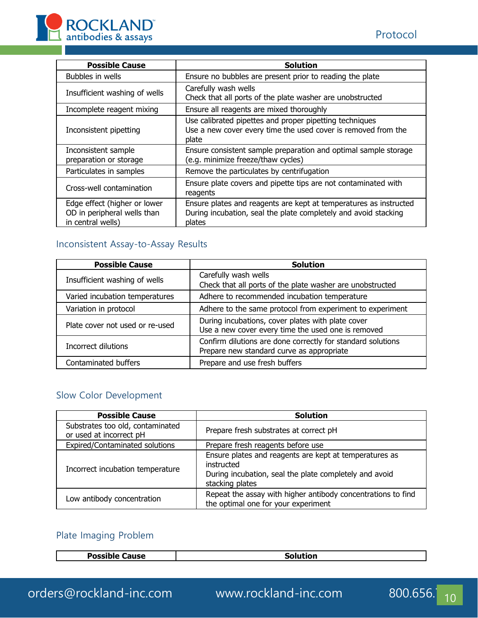

| <b>Possible Cause</b>                                                            | <b>Solution</b>                                                                                                                                |  |
|----------------------------------------------------------------------------------|------------------------------------------------------------------------------------------------------------------------------------------------|--|
| Bubbles in wells                                                                 | Ensure no bubbles are present prior to reading the plate                                                                                       |  |
| Insufficient washing of wells                                                    | Carefully wash wells<br>Check that all ports of the plate washer are unobstructed                                                              |  |
| Incomplete reagent mixing                                                        | Ensure all reagents are mixed thoroughly                                                                                                       |  |
| Inconsistent pipetting                                                           | Use calibrated pipettes and proper pipetting techniques<br>Use a new cover every time the used cover is removed from the<br>plate              |  |
| Inconsistent sample<br>preparation or storage                                    | Ensure consistent sample preparation and optimal sample storage<br>(e.g. minimize freeze/thaw cycles)                                          |  |
| Particulates in samples                                                          | Remove the particulates by centrifugation                                                                                                      |  |
| Cross-well contamination                                                         | Ensure plate covers and pipette tips are not contaminated with<br>reagents                                                                     |  |
| Edge effect (higher or lower<br>OD in peripheral wells than<br>in central wells) | Ensure plates and reagents are kept at temperatures as instructed<br>During incubation, seal the plate completely and avoid stacking<br>plates |  |

# Inconsistent Assay-to-Assay Results

| <b>Possible Cause</b>           | <b>Solution</b>                                                                                          |  |
|---------------------------------|----------------------------------------------------------------------------------------------------------|--|
| Insufficient washing of wells   | Carefully wash wells<br>Check that all ports of the plate washer are unobstructed                        |  |
| Varied incubation temperatures  | Adhere to recommended incubation temperature                                                             |  |
| Variation in protocol           | Adhere to the same protocol from experiment to experiment                                                |  |
| Plate cover not used or re-used | During incubations, cover plates with plate cover<br>Use a new cover every time the used one is removed  |  |
| Incorrect dilutions             | Confirm dilutions are done correctly for standard solutions<br>Prepare new standard curve as appropriate |  |
| Contaminated buffers            | Prepare and use fresh buffers                                                                            |  |

## Slow Color Development

| <b>Possible Cause</b>                                       | <b>Solution</b>                                                                                                                                   |  |
|-------------------------------------------------------------|---------------------------------------------------------------------------------------------------------------------------------------------------|--|
| Substrates too old, contaminated<br>or used at incorrect pH | Prepare fresh substrates at correct pH                                                                                                            |  |
| Expired/Contaminated solutions                              | Prepare fresh reagents before use                                                                                                                 |  |
| Incorrect incubation temperature                            | Ensure plates and reagents are kept at temperatures as<br>instructed<br>During incubation, seal the plate completely and avoid<br>stacking plates |  |
| Low antibody concentration                                  | Repeat the assay with higher antibody concentrations to find<br>the optimal one for your experiment                                               |  |

# Plate Imaging Problem

| $- -$<br>Doccih | - - |
|-----------------|-----|
|                 | эн. |
|                 |     |